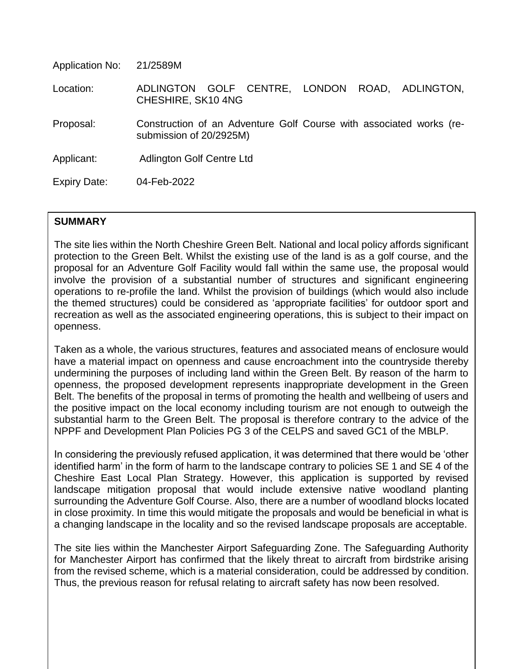| Application No:     | 21/2589M                                                                                       |
|---------------------|------------------------------------------------------------------------------------------------|
| Location:           | GOLF CENTRE, LONDON ROAD, ADLINGTON,<br>ADLINGTON<br>CHESHIRE, SK10 4NG                        |
| Proposal:           | Construction of an Adventure Golf Course with associated works (re-<br>submission of 20/2925M) |
| Applicant:          | Adlington Golf Centre Ltd                                                                      |
| <b>Expiry Date:</b> | 04-Feb-2022                                                                                    |

## **SUMMARY**

The site lies within the North Cheshire Green Belt. National and local policy affords significant protection to the Green Belt. Whilst the existing use of the land is as a golf course, and the proposal for an Adventure Golf Facility would fall within the same use, the proposal would involve the provision of a substantial number of structures and significant engineering operations to re-profile the land. Whilst the provision of buildings (which would also include the themed structures) could be considered as 'appropriate facilities' for outdoor sport and recreation as well as the associated engineering operations, this is subject to their impact on openness.

Taken as a whole, the various structures, features and associated means of enclosure would have a material impact on openness and cause encroachment into the countryside thereby undermining the purposes of including land within the Green Belt. By reason of the harm to openness, the proposed development represents inappropriate development in the Green Belt. The benefits of the proposal in terms of promoting the health and wellbeing of users and the positive impact on the local economy including tourism are not enough to outweigh the substantial harm to the Green Belt. The proposal is therefore contrary to the advice of the NPPF and Development Plan Policies PG 3 of the CELPS and saved GC1 of the MBLP.

In considering the previously refused application, it was determined that there would be 'other identified harm' in the form of harm to the landscape contrary to policies SE 1 and SE 4 of the Cheshire East Local Plan Strategy. However, this application is supported by revised landscape mitigation proposal that would include extensive native woodland planting surrounding the Adventure Golf Course. Also, there are a number of woodland blocks located in close proximity. In time this would mitigate the proposals and would be beneficial in what is a changing landscape in the locality and so the revised landscape proposals are acceptable.

The site lies within the Manchester Airport Safeguarding Zone. The Safeguarding Authority for Manchester Airport has confirmed that the likely threat to aircraft from birdstrike arising from the revised scheme, which is a material consideration, could be addressed by condition. Thus, the previous reason for refusal relating to aircraft safety has now been resolved.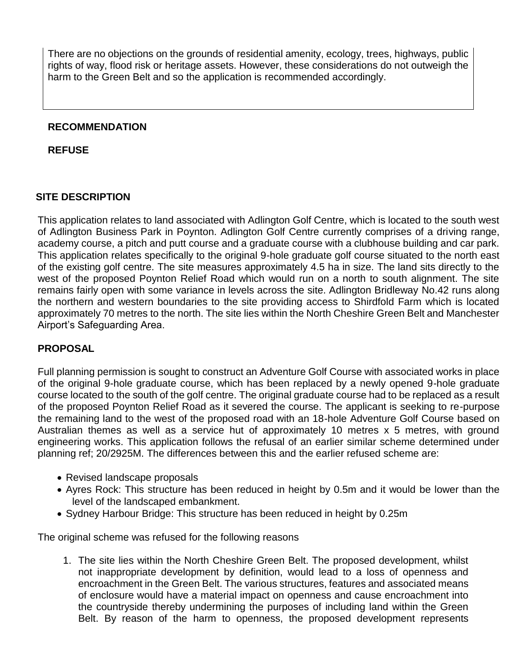There are no objections on the grounds of residential amenity, ecology, trees, highways, public rights of way, flood risk or heritage assets. However, these considerations do not outweigh the harm to the Green Belt and so the application is recommended accordingly.

### **RECOMMENDATION**

**REFUSE**

## **SITE DESCRIPTION**

This application relates to land associated with Adlington Golf Centre, which is located to the south west of Adlington Business Park in Poynton. Adlington Golf Centre currently comprises of a driving range, academy course, a pitch and putt course and a graduate course with a clubhouse building and car park. This application relates specifically to the original 9-hole graduate golf course situated to the north east of the existing golf centre. The site measures approximately 4.5 ha in size. The land sits directly to the west of the proposed Poynton Relief Road which would run on a north to south alignment. The site remains fairly open with some variance in levels across the site. Adlington Bridleway No.42 runs along the northern and western boundaries to the site providing access to Shirdfold Farm which is located approximately 70 metres to the north. The site lies within the North Cheshire Green Belt and Manchester Airport's Safeguarding Area.

## **PROPOSAL**

Full planning permission is sought to construct an Adventure Golf Course with associated works in place of the original 9-hole graduate course, which has been replaced by a newly opened 9-hole graduate course located to the south of the golf centre. The original graduate course had to be replaced as a result of the proposed Poynton Relief Road as it severed the course. The applicant is seeking to re-purpose the remaining land to the west of the proposed road with an 18-hole Adventure Golf Course based on Australian themes as well as a service hut of approximately 10 metres x 5 metres, with ground engineering works. This application follows the refusal of an earlier similar scheme determined under planning ref; 20/2925M. The differences between this and the earlier refused scheme are:

- Revised landscape proposals
- Ayres Rock: This structure has been reduced in height by 0.5m and it would be lower than the level of the landscaped embankment.
- Sydney Harbour Bridge: This structure has been reduced in height by 0.25m

The original scheme was refused for the following reasons

1. The site lies within the North Cheshire Green Belt. The proposed development, whilst not inappropriate development by definition, would lead to a loss of openness and encroachment in the Green Belt. The various structures, features and associated means of enclosure would have a material impact on openness and cause encroachment into the countryside thereby undermining the purposes of including land within the Green Belt. By reason of the harm to openness, the proposed development represents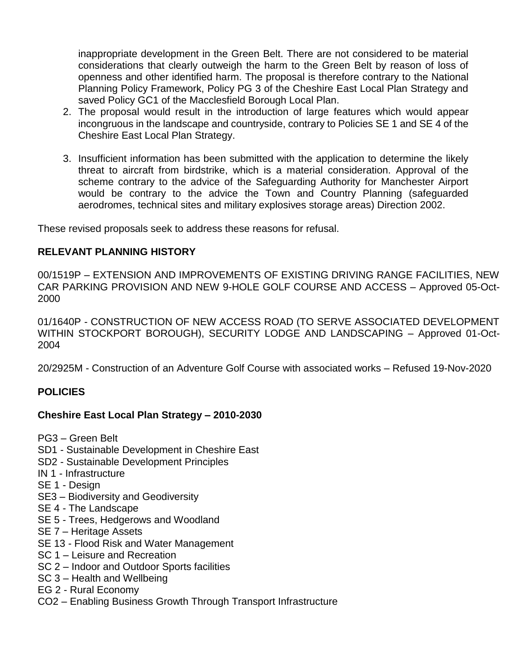inappropriate development in the Green Belt. There are not considered to be material considerations that clearly outweigh the harm to the Green Belt by reason of loss of openness and other identified harm. The proposal is therefore contrary to the National Planning Policy Framework, Policy PG 3 of the Cheshire East Local Plan Strategy and saved Policy GC1 of the Macclesfield Borough Local Plan.

- 2. The proposal would result in the introduction of large features which would appear incongruous in the landscape and countryside, contrary to Policies SE 1 and SE 4 of the Cheshire East Local Plan Strategy.
- 3. Insufficient information has been submitted with the application to determine the likely threat to aircraft from birdstrike, which is a material consideration. Approval of the scheme contrary to the advice of the Safeguarding Authority for Manchester Airport would be contrary to the advice the Town and Country Planning (safeguarded aerodromes, technical sites and military explosives storage areas) Direction 2002.

These revised proposals seek to address these reasons for refusal.

### **RELEVANT PLANNING HISTORY**

00/1519P – EXTENSION AND IMPROVEMENTS OF EXISTING DRIVING RANGE FACILITIES, NEW CAR PARKING PROVISION AND NEW 9-HOLE GOLF COURSE AND ACCESS – Approved 05-Oct-2000

01/1640P - CONSTRUCTION OF NEW ACCESS ROAD (TO SERVE ASSOCIATED DEVELOPMENT WITHIN STOCKPORT BOROUGH), SECURITY LODGE AND LANDSCAPING – Approved 01-Oct-2004

20/2925M - Construction of an Adventure Golf Course with associated works – Refused 19-Nov-2020

## **POLICIES**

#### **Cheshire East Local Plan Strategy – 2010-2030**

- PG3 Green Belt
- SD1 Sustainable Development in Cheshire East
- SD2 Sustainable Development Principles
- IN 1 Infrastructure
- SE 1 Design
- SE3 Biodiversity and Geodiversity
- SE 4 The Landscape
- SE 5 Trees, Hedgerows and Woodland
- SE 7 Heritage Assets
- SE 13 Flood Risk and Water Management
- SC 1 Leisure and Recreation
- SC 2 Indoor and Outdoor Sports facilities
- SC 3 Health and Wellbeing
- EG 2 Rural Economy
- CO2 Enabling Business Growth Through Transport Infrastructure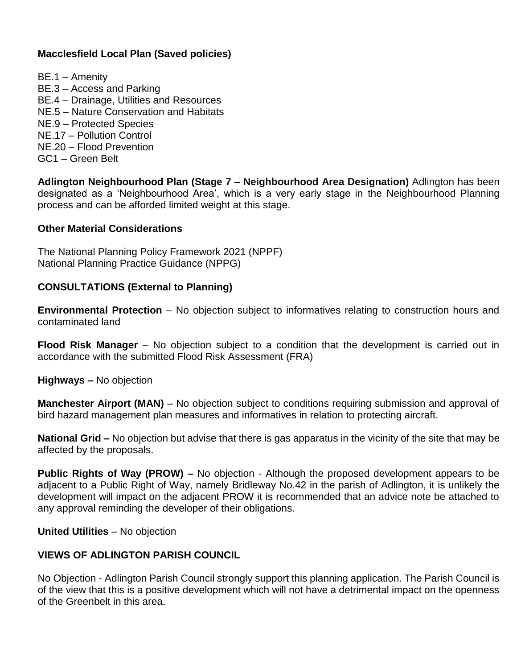## **Macclesfield Local Plan (Saved policies)**

BE.1 – Amenity BE.3 – Access and Parking BE.4 – Drainage, Utilities and Resources NE.5 – Nature Conservation and Habitats NE.9 – Protected Species NE.17 – Pollution Control NE.20 – Flood Prevention GC1 – Green Belt

**Adlington Neighbourhood Plan (Stage 7 – Neighbourhood Area Designation)** Adlington has been designated as a 'Neighbourhood Area', which is a very early stage in the Neighbourhood Planning process and can be afforded limited weight at this stage.

#### **Other Material Considerations**

The National Planning Policy Framework 2021 (NPPF) National Planning Practice Guidance (NPPG)

#### **CONSULTATIONS (External to Planning)**

**Environmental Protection** – No objection subject to informatives relating to construction hours and contaminated land

**Flood Risk Manager** – No objection subject to a condition that the development is carried out in accordance with the submitted Flood Risk Assessment (FRA)

**Highways –** No objection

**Manchester Airport (MAN)** – No objection subject to conditions requiring submission and approval of bird hazard management plan measures and informatives in relation to protecting aircraft.

**National Grid –** No objection but advise that there is gas apparatus in the vicinity of the site that may be affected by the proposals.

**Public Rights of Way (PROW) –** No objection - Although the proposed development appears to be adjacent to a Public Right of Way, namely Bridleway No.42 in the parish of Adlington, it is unlikely the development will impact on the adjacent PROW it is recommended that an advice note be attached to any approval reminding the developer of their obligations.

**United Utilities** – No objection

#### **VIEWS OF ADLINGTON PARISH COUNCIL**

No Objection - Adlington Parish Council strongly support this planning application. The Parish Council is of the view that this is a positive development which will not have a detrimental impact on the openness of the Greenbelt in this area.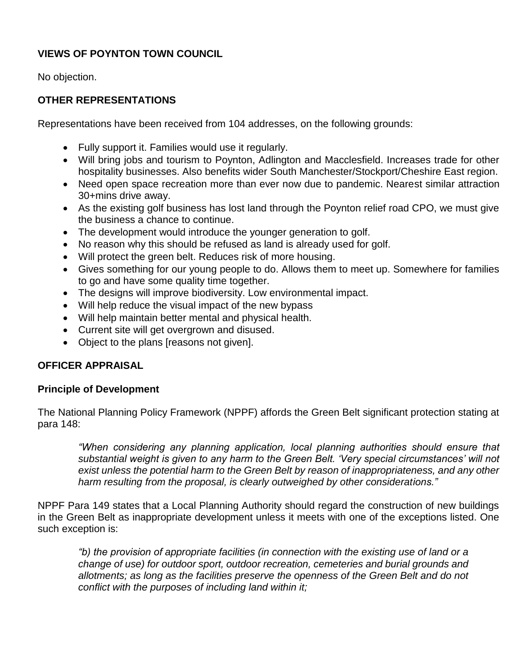# **VIEWS OF POYNTON TOWN COUNCIL**

No objection.

## **OTHER REPRESENTATIONS**

Representations have been received from 104 addresses, on the following grounds:

- Fully support it. Families would use it regularly.
- Will bring jobs and tourism to Poynton, Adlington and Macclesfield. Increases trade for other hospitality businesses. Also benefits wider South Manchester/Stockport/Cheshire East region.
- Need open space recreation more than ever now due to pandemic. Nearest similar attraction 30+mins drive away.
- As the existing golf business has lost land through the Poynton relief road CPO, we must give the business a chance to continue.
- The development would introduce the younger generation to golf.
- No reason why this should be refused as land is already used for golf.
- Will protect the green belt. Reduces risk of more housing.
- Gives something for our young people to do. Allows them to meet up. Somewhere for families to go and have some quality time together.
- The designs will improve biodiversity. Low environmental impact.
- Will help reduce the visual impact of the new bypass
- Will help maintain better mental and physical health.
- Current site will get overgrown and disused.
- Object to the plans [reasons not given].

## **OFFICER APPRAISAL**

#### **Principle of Development**

The National Planning Policy Framework (NPPF) affords the Green Belt significant protection stating at para 148:

*"When considering any planning application, local planning authorities should ensure that substantial weight is given to any harm to the Green Belt. 'Very special circumstances' will not exist unless the potential harm to the Green Belt by reason of inappropriateness, and any other harm resulting from the proposal, is clearly outweighed by other considerations."*

NPPF Para 149 states that a Local Planning Authority should regard the construction of new buildings in the Green Belt as inappropriate development unless it meets with one of the exceptions listed. One such exception is:

*"b) the provision of appropriate facilities (in connection with the existing use of land or a change of use) for outdoor sport, outdoor recreation, cemeteries and burial grounds and allotments; as long as the facilities preserve the openness of the Green Belt and do not conflict with the purposes of including land within it;*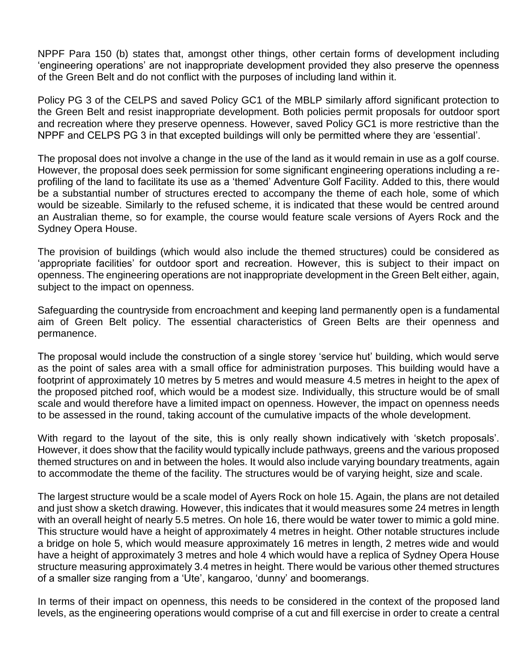NPPF Para 150 (b) states that, amongst other things, other certain forms of development including 'engineering operations' are not inappropriate development provided they also preserve the openness of the Green Belt and do not conflict with the purposes of including land within it.

Policy PG 3 of the CELPS and saved Policy GC1 of the MBLP similarly afford significant protection to the Green Belt and resist inappropriate development. Both policies permit proposals for outdoor sport and recreation where they preserve openness. However, saved Policy GC1 is more restrictive than the NPPF and CELPS PG 3 in that excepted buildings will only be permitted where they are 'essential'.

The proposal does not involve a change in the use of the land as it would remain in use as a golf course. However, the proposal does seek permission for some significant engineering operations including a reprofiling of the land to facilitate its use as a 'themed' Adventure Golf Facility. Added to this, there would be a substantial number of structures erected to accompany the theme of each hole, some of which would be sizeable. Similarly to the refused scheme, it is indicated that these would be centred around an Australian theme, so for example, the course would feature scale versions of Ayers Rock and the Sydney Opera House.

The provision of buildings (which would also include the themed structures) could be considered as 'appropriate facilities' for outdoor sport and recreation. However, this is subject to their impact on openness. The engineering operations are not inappropriate development in the Green Belt either, again, subject to the impact on openness.

Safeguarding the countryside from encroachment and keeping land permanently open is a fundamental aim of Green Belt policy. The essential characteristics of Green Belts are their openness and permanence.

The proposal would include the construction of a single storey 'service hut' building, which would serve as the point of sales area with a small office for administration purposes. This building would have a footprint of approximately 10 metres by 5 metres and would measure 4.5 metres in height to the apex of the proposed pitched roof, which would be a modest size. Individually, this structure would be of small scale and would therefore have a limited impact on openness. However, the impact on openness needs to be assessed in the round, taking account of the cumulative impacts of the whole development.

With regard to the layout of the site, this is only really shown indicatively with 'sketch proposals'. However, it does show that the facility would typically include pathways, greens and the various proposed themed structures on and in between the holes. It would also include varying boundary treatments, again to accommodate the theme of the facility. The structures would be of varying height, size and scale.

The largest structure would be a scale model of Ayers Rock on hole 15. Again, the plans are not detailed and just show a sketch drawing. However, this indicates that it would measures some 24 metres in length with an overall height of nearly 5.5 metres. On hole 16, there would be water tower to mimic a gold mine. This structure would have a height of approximately 4 metres in height. Other notable structures include a bridge on hole 5, which would measure approximately 16 metres in length, 2 metres wide and would have a height of approximately 3 metres and hole 4 which would have a replica of Sydney Opera House structure measuring approximately 3.4 metres in height. There would be various other themed structures of a smaller size ranging from a 'Ute', kangaroo, 'dunny' and boomerangs.

In terms of their impact on openness, this needs to be considered in the context of the proposed land levels, as the engineering operations would comprise of a cut and fill exercise in order to create a central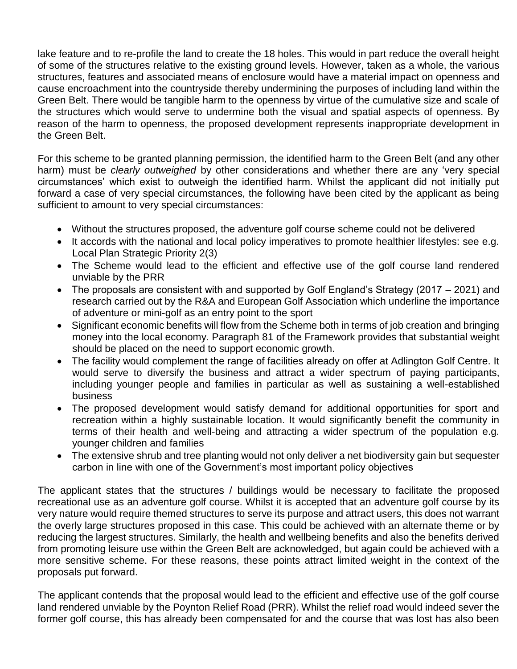lake feature and to re-profile the land to create the 18 holes. This would in part reduce the overall height of some of the structures relative to the existing ground levels. However, taken as a whole, the various structures, features and associated means of enclosure would have a material impact on openness and cause encroachment into the countryside thereby undermining the purposes of including land within the Green Belt. There would be tangible harm to the openness by virtue of the cumulative size and scale of the structures which would serve to undermine both the visual and spatial aspects of openness. By reason of the harm to openness, the proposed development represents inappropriate development in the Green Belt.

For this scheme to be granted planning permission, the identified harm to the Green Belt (and any other harm) must be *clearly outweighed* by other considerations and whether there are any 'very special circumstances' which exist to outweigh the identified harm. Whilst the applicant did not initially put forward a case of very special circumstances, the following have been cited by the applicant as being sufficient to amount to very special circumstances:

- Without the structures proposed, the adventure golf course scheme could not be delivered
- It accords with the national and local policy imperatives to promote healthier lifestyles: see e.g. Local Plan Strategic Priority 2(3)
- The Scheme would lead to the efficient and effective use of the golf course land rendered unviable by the PRR
- The proposals are consistent with and supported by Golf England's Strategy (2017 2021) and research carried out by the R&A and European Golf Association which underline the importance of adventure or mini-golf as an entry point to the sport
- Significant economic benefits will flow from the Scheme both in terms of job creation and bringing money into the local economy. Paragraph 81 of the Framework provides that substantial weight should be placed on the need to support economic growth.
- The facility would complement the range of facilities already on offer at Adlington Golf Centre. It would serve to diversify the business and attract a wider spectrum of paying participants, including younger people and families in particular as well as sustaining a well-established business
- The proposed development would satisfy demand for additional opportunities for sport and recreation within a highly sustainable location. It would significantly benefit the community in terms of their health and well-being and attracting a wider spectrum of the population e.g. younger children and families
- The extensive shrub and tree planting would not only deliver a net biodiversity gain but sequester carbon in line with one of the Government's most important policy objectives

The applicant states that the structures / buildings would be necessary to facilitate the proposed recreational use as an adventure golf course. Whilst it is accepted that an adventure golf course by its very nature would require themed structures to serve its purpose and attract users, this does not warrant the overly large structures proposed in this case. This could be achieved with an alternate theme or by reducing the largest structures. Similarly, the health and wellbeing benefits and also the benefits derived from promoting leisure use within the Green Belt are acknowledged, but again could be achieved with a more sensitive scheme. For these reasons, these points attract limited weight in the context of the proposals put forward.

The applicant contends that the proposal would lead to the efficient and effective use of the golf course land rendered unviable by the Poynton Relief Road (PRR). Whilst the relief road would indeed sever the former golf course, this has already been compensated for and the course that was lost has also been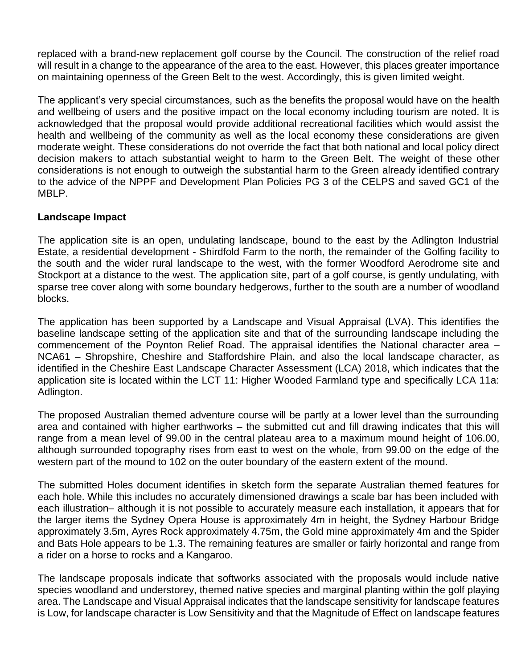replaced with a brand-new replacement golf course by the Council. The construction of the relief road will result in a change to the appearance of the area to the east. However, this places greater importance on maintaining openness of the Green Belt to the west. Accordingly, this is given limited weight.

The applicant's very special circumstances, such as the benefits the proposal would have on the health and wellbeing of users and the positive impact on the local economy including tourism are noted. It is acknowledged that the proposal would provide additional recreational facilities which would assist the health and wellbeing of the community as well as the local economy these considerations are given moderate weight. These considerations do not override the fact that both national and local policy direct decision makers to attach substantial weight to harm to the Green Belt. The weight of these other considerations is not enough to outweigh the substantial harm to the Green already identified contrary to the advice of the NPPF and Development Plan Policies PG 3 of the CELPS and saved GC1 of the MBLP.

#### **Landscape Impact**

The application site is an open, undulating landscape, bound to the east by the Adlington Industrial Estate, a residential development - Shirdfold Farm to the north, the remainder of the Golfing facility to the south and the wider rural landscape to the west, with the former Woodford Aerodrome site and Stockport at a distance to the west. The application site, part of a golf course, is gently undulating, with sparse tree cover along with some boundary hedgerows, further to the south are a number of woodland blocks.

The application has been supported by a Landscape and Visual Appraisal (LVA). This identifies the baseline landscape setting of the application site and that of the surrounding landscape including the commencement of the Poynton Relief Road. The appraisal identifies the National character area – NCA61 – Shropshire, Cheshire and Staffordshire Plain, and also the local landscape character, as identified in the Cheshire East Landscape Character Assessment (LCA) 2018, which indicates that the application site is located within the LCT 11: Higher Wooded Farmland type and specifically LCA 11a: Adlington.

The proposed Australian themed adventure course will be partly at a lower level than the surrounding area and contained with higher earthworks – the submitted cut and fill drawing indicates that this will range from a mean level of 99.00 in the central plateau area to a maximum mound height of 106.00, although surrounded topography rises from east to west on the whole, from 99.00 on the edge of the western part of the mound to 102 on the outer boundary of the eastern extent of the mound.

The submitted Holes document identifies in sketch form the separate Australian themed features for each hole. While this includes no accurately dimensioned drawings a scale bar has been included with each illustration– although it is not possible to accurately measure each installation, it appears that for the larger items the Sydney Opera House is approximately 4m in height, the Sydney Harbour Bridge approximately 3.5m, Ayres Rock approximately 4.75m, the Gold mine approximately 4m and the Spider and Bats Hole appears to be 1.3. The remaining features are smaller or fairly horizontal and range from a rider on a horse to rocks and a Kangaroo.

The landscape proposals indicate that softworks associated with the proposals would include native species woodland and understorey, themed native species and marginal planting within the golf playing area. The Landscape and Visual Appraisal indicates that the landscape sensitivity for landscape features is Low, for landscape character is Low Sensitivity and that the Magnitude of Effect on landscape features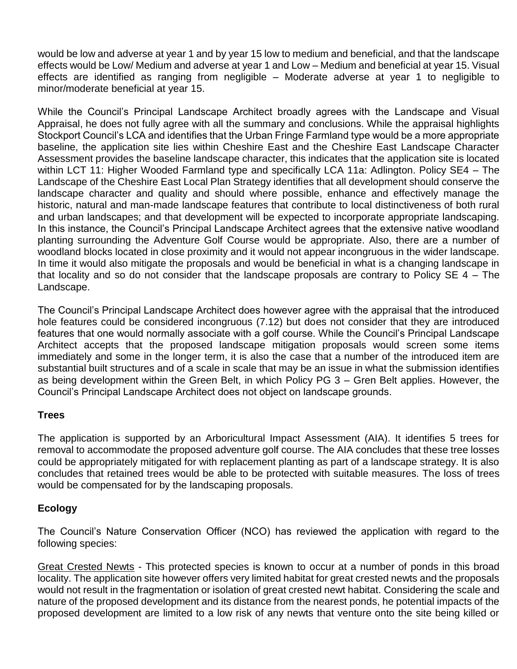would be low and adverse at year 1 and by year 15 low to medium and beneficial, and that the landscape effects would be Low/ Medium and adverse at year 1 and Low – Medium and beneficial at year 15. Visual effects are identified as ranging from negligible – Moderate adverse at year 1 to negligible to minor/moderate beneficial at year 15.

While the Council's Principal Landscape Architect broadly agrees with the Landscape and Visual Appraisal, he does not fully agree with all the summary and conclusions. While the appraisal highlights Stockport Council's LCA and identifies that the Urban Fringe Farmland type would be a more appropriate baseline, the application site lies within Cheshire East and the Cheshire East Landscape Character Assessment provides the baseline landscape character, this indicates that the application site is located within LCT 11: Higher Wooded Farmland type and specifically LCA 11a: Adlington. Policy SE4 – The Landscape of the Cheshire East Local Plan Strategy identifies that all development should conserve the landscape character and quality and should where possible, enhance and effectively manage the historic, natural and man-made landscape features that contribute to local distinctiveness of both rural and urban landscapes; and that development will be expected to incorporate appropriate landscaping. In this instance, the Council's Principal Landscape Architect agrees that the extensive native woodland planting surrounding the Adventure Golf Course would be appropriate. Also, there are a number of woodland blocks located in close proximity and it would not appear incongruous in the wider landscape. In time it would also mitigate the proposals and would be beneficial in what is a changing landscape in that locality and so do not consider that the landscape proposals are contrary to Policy SE 4 – The Landscape.

The Council's Principal Landscape Architect does however agree with the appraisal that the introduced hole features could be considered incongruous (7.12) but does not consider that they are introduced features that one would normally associate with a golf course. While the Council's Principal Landscape Architect accepts that the proposed landscape mitigation proposals would screen some items immediately and some in the longer term, it is also the case that a number of the introduced item are substantial built structures and of a scale in scale that may be an issue in what the submission identifies as being development within the Green Belt, in which Policy PG 3 – Gren Belt applies. However, the Council's Principal Landscape Architect does not object on landscape grounds.

## **Trees**

The application is supported by an Arboricultural Impact Assessment (AIA). It identifies 5 trees for removal to accommodate the proposed adventure golf course. The AIA concludes that these tree losses could be appropriately mitigated for with replacement planting as part of a landscape strategy. It is also concludes that retained trees would be able to be protected with suitable measures. The loss of trees would be compensated for by the landscaping proposals.

## **Ecology**

The Council's Nature Conservation Officer (NCO) has reviewed the application with regard to the following species:

Great Crested Newts - This protected species is known to occur at a number of ponds in this broad locality. The application site however offers very limited habitat for great crested newts and the proposals would not result in the fragmentation or isolation of great crested newt habitat. Considering the scale and nature of the proposed development and its distance from the nearest ponds, he potential impacts of the proposed development are limited to a low risk of any newts that venture onto the site being killed or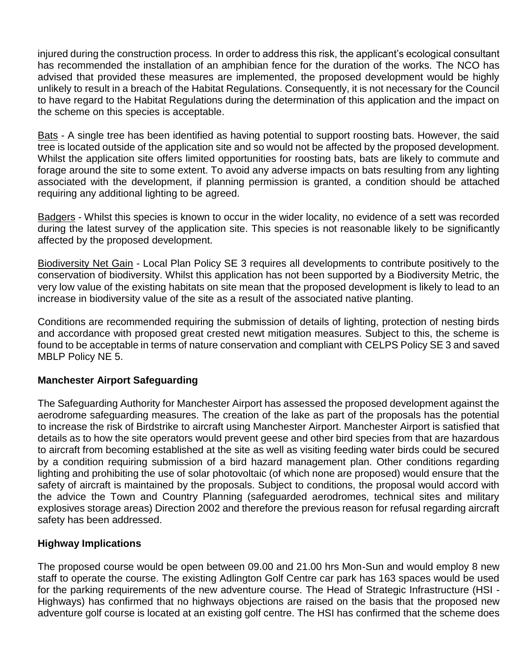injured during the construction process. In order to address this risk, the applicant's ecological consultant has recommended the installation of an amphibian fence for the duration of the works. The NCO has advised that provided these measures are implemented, the proposed development would be highly unlikely to result in a breach of the Habitat Regulations. Consequently, it is not necessary for the Council to have regard to the Habitat Regulations during the determination of this application and the impact on the scheme on this species is acceptable.

Bats - A single tree has been identified as having potential to support roosting bats. However, the said tree is located outside of the application site and so would not be affected by the proposed development. Whilst the application site offers limited opportunities for roosting bats, bats are likely to commute and forage around the site to some extent. To avoid any adverse impacts on bats resulting from any lighting associated with the development, if planning permission is granted, a condition should be attached requiring any additional lighting to be agreed.

Badgers - Whilst this species is known to occur in the wider locality, no evidence of a sett was recorded during the latest survey of the application site. This species is not reasonable likely to be significantly affected by the proposed development.

Biodiversity Net Gain - Local Plan Policy SE 3 requires all developments to contribute positively to the conservation of biodiversity. Whilst this application has not been supported by a Biodiversity Metric, the very low value of the existing habitats on site mean that the proposed development is likely to lead to an increase in biodiversity value of the site as a result of the associated native planting.

Conditions are recommended requiring the submission of details of lighting, protection of nesting birds and accordance with proposed great crested newt mitigation measures. Subject to this, the scheme is found to be acceptable in terms of nature conservation and compliant with CELPS Policy SE 3 and saved MBLP Policy NE 5.

## **Manchester Airport Safeguarding**

The Safeguarding Authority for Manchester Airport has assessed the proposed development against the aerodrome safeguarding measures. The creation of the lake as part of the proposals has the potential to increase the risk of Birdstrike to aircraft using Manchester Airport. Manchester Airport is satisfied that details as to how the site operators would prevent geese and other bird species from that are hazardous to aircraft from becoming established at the site as well as visiting feeding water birds could be secured by a condition requiring submission of a bird hazard management plan. Other conditions regarding lighting and prohibiting the use of solar photovoltaic (of which none are proposed) would ensure that the safety of aircraft is maintained by the proposals. Subject to conditions, the proposal would accord with the advice the Town and Country Planning (safeguarded aerodromes, technical sites and military explosives storage areas) Direction 2002 and therefore the previous reason for refusal regarding aircraft safety has been addressed.

## **Highway Implications**

The proposed course would be open between 09.00 and 21.00 hrs Mon-Sun and would employ 8 new staff to operate the course. The existing Adlington Golf Centre car park has 163 spaces would be used for the parking requirements of the new adventure course. The Head of Strategic Infrastructure (HSI - Highways) has confirmed that no highways objections are raised on the basis that the proposed new adventure golf course is located at an existing golf centre. The HSI has confirmed that the scheme does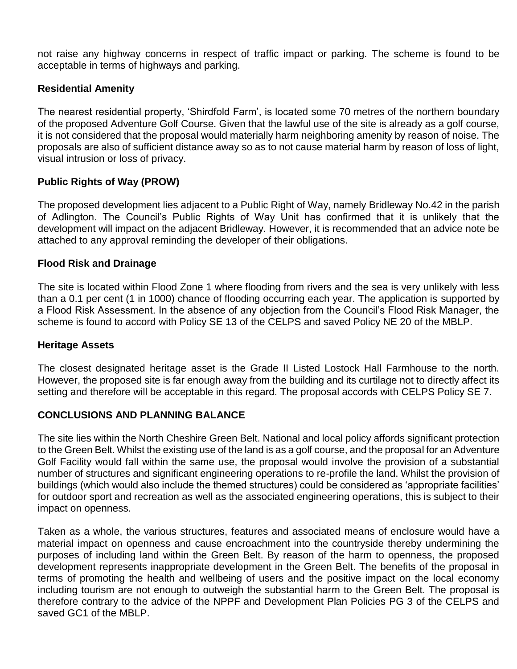not raise any highway concerns in respect of traffic impact or parking. The scheme is found to be acceptable in terms of highways and parking.

### **Residential Amenity**

The nearest residential property, 'Shirdfold Farm', is located some 70 metres of the northern boundary of the proposed Adventure Golf Course. Given that the lawful use of the site is already as a golf course, it is not considered that the proposal would materially harm neighboring amenity by reason of noise. The proposals are also of sufficient distance away so as to not cause material harm by reason of loss of light, visual intrusion or loss of privacy.

### **Public Rights of Way (PROW)**

The proposed development lies adjacent to a Public Right of Way, namely Bridleway No.42 in the parish of Adlington. The Council's Public Rights of Way Unit has confirmed that it is unlikely that the development will impact on the adjacent Bridleway. However, it is recommended that an advice note be attached to any approval reminding the developer of their obligations.

### **Flood Risk and Drainage**

The site is located within Flood Zone 1 where flooding from rivers and the sea is very unlikely with less than a 0.1 per cent (1 in 1000) chance of flooding occurring each year. The application is supported by a Flood Risk Assessment. In the absence of any objection from the Council's Flood Risk Manager, the scheme is found to accord with Policy SE 13 of the CELPS and saved Policy NE 20 of the MBLP.

#### **Heritage Assets**

The closest designated heritage asset is the Grade II Listed Lostock Hall Farmhouse to the north. However, the proposed site is far enough away from the building and its curtilage not to directly affect its setting and therefore will be acceptable in this regard. The proposal accords with CELPS Policy SE 7.

#### **CONCLUSIONS AND PLANNING BALANCE**

The site lies within the North Cheshire Green Belt. National and local policy affords significant protection to the Green Belt. Whilst the existing use of the land is as a golf course, and the proposal for an Adventure Golf Facility would fall within the same use, the proposal would involve the provision of a substantial number of structures and significant engineering operations to re-profile the land. Whilst the provision of buildings (which would also include the themed structures) could be considered as 'appropriate facilities' for outdoor sport and recreation as well as the associated engineering operations, this is subject to their impact on openness.

Taken as a whole, the various structures, features and associated means of enclosure would have a material impact on openness and cause encroachment into the countryside thereby undermining the purposes of including land within the Green Belt. By reason of the harm to openness, the proposed development represents inappropriate development in the Green Belt. The benefits of the proposal in terms of promoting the health and wellbeing of users and the positive impact on the local economy including tourism are not enough to outweigh the substantial harm to the Green Belt. The proposal is therefore contrary to the advice of the NPPF and Development Plan Policies PG 3 of the CELPS and saved GC1 of the MBLP.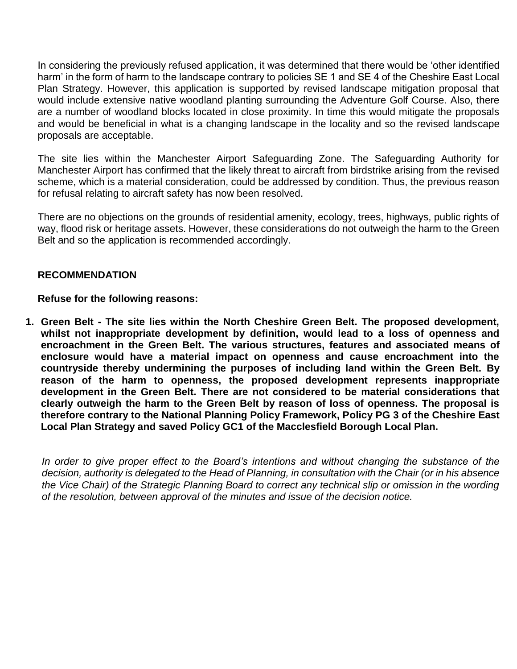In considering the previously refused application, it was determined that there would be 'other identified harm' in the form of harm to the landscape contrary to policies SE 1 and SE 4 of the Cheshire East Local Plan Strategy. However, this application is supported by revised landscape mitigation proposal that would include extensive native woodland planting surrounding the Adventure Golf Course. Also, there are a number of woodland blocks located in close proximity. In time this would mitigate the proposals and would be beneficial in what is a changing landscape in the locality and so the revised landscape proposals are acceptable.

The site lies within the Manchester Airport Safeguarding Zone. The Safeguarding Authority for Manchester Airport has confirmed that the likely threat to aircraft from birdstrike arising from the revised scheme, which is a material consideration, could be addressed by condition. Thus, the previous reason for refusal relating to aircraft safety has now been resolved.

There are no objections on the grounds of residential amenity, ecology, trees, highways, public rights of way, flood risk or heritage assets. However, these considerations do not outweigh the harm to the Green Belt and so the application is recommended accordingly.

### **RECOMMENDATION**

**Refuse for the following reasons:**

**1. Green Belt - The site lies within the North Cheshire Green Belt. The proposed development, whilst not inappropriate development by definition, would lead to a loss of openness and encroachment in the Green Belt. The various structures, features and associated means of enclosure would have a material impact on openness and cause encroachment into the countryside thereby undermining the purposes of including land within the Green Belt. By reason of the harm to openness, the proposed development represents inappropriate development in the Green Belt. There are not considered to be material considerations that clearly outweigh the harm to the Green Belt by reason of loss of openness. The proposal is therefore contrary to the National Planning Policy Framework, Policy PG 3 of the Cheshire East Local Plan Strategy and saved Policy GC1 of the Macclesfield Borough Local Plan.**

In order to give proper effect to the Board's intentions and without changing the substance of the *decision, authority is delegated to the Head of Planning, in consultation with the Chair (or in his absence the Vice Chair) of the Strategic Planning Board to correct any technical slip or omission in the wording of the resolution, between approval of the minutes and issue of the decision notice.*